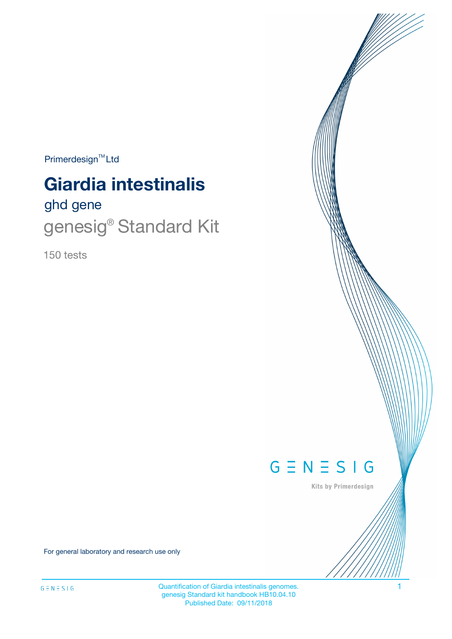$Primerdesign^{TM}$ Ltd

# **Giardia intestinalis**

# ghd gene genesig® Standard Kit

150 tests



Kits by Primerdesign

For general laboratory and research use only

Quantification of Giardia intestinalis genomes. 1 genesig Standard kit handbook HB10.04.10 Published Date: 09/11/2018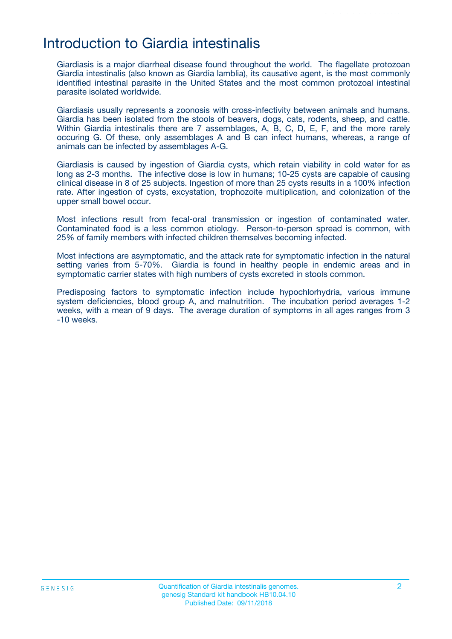### Introduction to Giardia intestinalis

Giardiasis is a major diarrheal disease found throughout the world. The flagellate protozoan Giardia intestinalis (also known as Giardia lamblia), its causative agent, is the most commonly identified intestinal parasite in the United States and the most common protozoal intestinal parasite isolated worldwide.

Giardiasis usually represents a zoonosis with cross-infectivity between animals and humans. Giardia has been isolated from the stools of beavers, dogs, cats, rodents, sheep, and cattle. Within Giardia intestinalis there are 7 assemblages, A, B, C, D, E, F, and the more rarely occuring G. Of these, only assemblages A and B can infect humans, whereas, a range of animals can be infected by assemblages A-G.

Giardiasis is caused by ingestion of Giardia cysts, which retain viability in cold water for as long as 2-3 months. The infective dose is low in humans; 10-25 cysts are capable of causing clinical disease in 8 of 25 subjects. Ingestion of more than 25 cysts results in a 100% infection rate. After ingestion of cysts, excystation, trophozoite multiplication, and colonization of the upper small bowel occur.

Most infections result from fecal-oral transmission or ingestion of contaminated water. Contaminated food is a less common etiology. Person-to-person spread is common, with 25% of family members with infected children themselves becoming infected.

Most infections are asymptomatic, and the attack rate for symptomatic infection in the natural setting varies from 5-70%. Giardia is found in healthy people in endemic areas and in symptomatic carrier states with high numbers of cysts excreted in stools common.

Predisposing factors to symptomatic infection include hypochlorhydria, various immune system deficiencies, blood group A, and malnutrition. The incubation period averages 1-2 weeks, with a mean of 9 days. The average duration of symptoms in all ages ranges from 3 -10 weeks.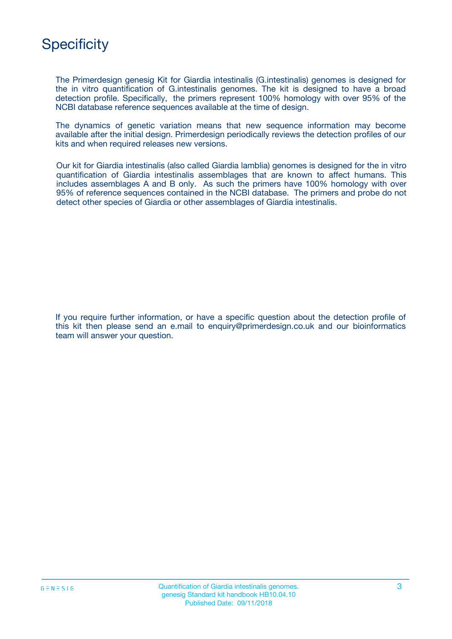

The Primerdesign genesig Kit for Giardia intestinalis (G.intestinalis) genomes is designed for the in vitro quantification of G.intestinalis genomes. The kit is designed to have a broad detection profile. Specifically, the primers represent 100% homology with over 95% of the NCBI database reference sequences available at the time of design.

The dynamics of genetic variation means that new sequence information may become available after the initial design. Primerdesign periodically reviews the detection profiles of our kits and when required releases new versions.

Our kit for Giardia intestinalis (also called Giardia lamblia) genomes is designed for the in vitro quantification of Giardia intestinalis assemblages that are known to affect humans. This includes assemblages A and B only. As such the primers have 100% homology with over 95% of reference sequences contained in the NCBI database. The primers and probe do not detect other species of Giardia or other assemblages of Giardia intestinalis.

If you require further information, or have a specific question about the detection profile of this kit then please send an e.mail to enquiry@primerdesign.co.uk and our bioinformatics team will answer your question.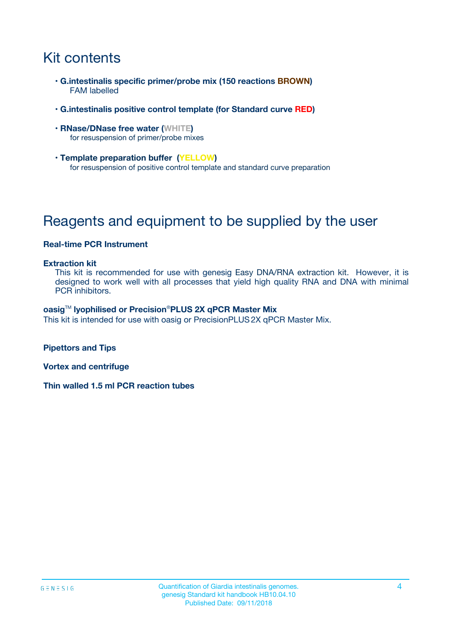# Kit contents

- **G.intestinalis specific primer/probe mix (150 reactions BROWN)** FAM labelled
- **G.intestinalis positive control template (for Standard curve RED)**
- **RNase/DNase free water (WHITE)** for resuspension of primer/probe mixes
- **Template preparation buffer (YELLOW)** for resuspension of positive control template and standard curve preparation

## Reagents and equipment to be supplied by the user

#### **Real-time PCR Instrument**

#### **Extraction kit**

This kit is recommended for use with genesig Easy DNA/RNA extraction kit. However, it is designed to work well with all processes that yield high quality RNA and DNA with minimal PCR inhibitors.

#### **oasig**TM **lyophilised or Precision**®**PLUS 2X qPCR Master Mix**

This kit is intended for use with oasig or PrecisionPLUS2X qPCR Master Mix.

**Pipettors and Tips**

**Vortex and centrifuge**

**Thin walled 1.5 ml PCR reaction tubes**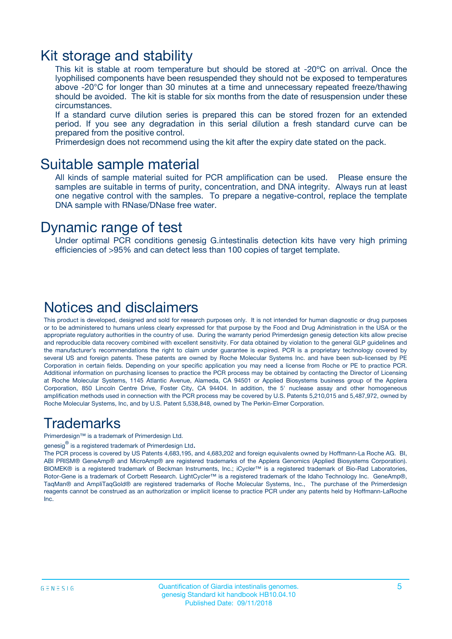### Kit storage and stability

This kit is stable at room temperature but should be stored at -20ºC on arrival. Once the lyophilised components have been resuspended they should not be exposed to temperatures above -20°C for longer than 30 minutes at a time and unnecessary repeated freeze/thawing should be avoided. The kit is stable for six months from the date of resuspension under these circumstances.

If a standard curve dilution series is prepared this can be stored frozen for an extended period. If you see any degradation in this serial dilution a fresh standard curve can be prepared from the positive control.

Primerdesign does not recommend using the kit after the expiry date stated on the pack.

### Suitable sample material

All kinds of sample material suited for PCR amplification can be used. Please ensure the samples are suitable in terms of purity, concentration, and DNA integrity. Always run at least one negative control with the samples. To prepare a negative-control, replace the template DNA sample with RNase/DNase free water.

### Dynamic range of test

Under optimal PCR conditions genesig G.intestinalis detection kits have very high priming efficiencies of >95% and can detect less than 100 copies of target template.

### Notices and disclaimers

This product is developed, designed and sold for research purposes only. It is not intended for human diagnostic or drug purposes or to be administered to humans unless clearly expressed for that purpose by the Food and Drug Administration in the USA or the appropriate regulatory authorities in the country of use. During the warranty period Primerdesign genesig detection kits allow precise and reproducible data recovery combined with excellent sensitivity. For data obtained by violation to the general GLP guidelines and the manufacturer's recommendations the right to claim under guarantee is expired. PCR is a proprietary technology covered by several US and foreign patents. These patents are owned by Roche Molecular Systems Inc. and have been sub-licensed by PE Corporation in certain fields. Depending on your specific application you may need a license from Roche or PE to practice PCR. Additional information on purchasing licenses to practice the PCR process may be obtained by contacting the Director of Licensing at Roche Molecular Systems, 1145 Atlantic Avenue, Alameda, CA 94501 or Applied Biosystems business group of the Applera Corporation, 850 Lincoln Centre Drive, Foster City, CA 94404. In addition, the 5' nuclease assay and other homogeneous amplification methods used in connection with the PCR process may be covered by U.S. Patents 5,210,015 and 5,487,972, owned by Roche Molecular Systems, Inc, and by U.S. Patent 5,538,848, owned by The Perkin-Elmer Corporation.

### Trademarks

Primerdesign™ is a trademark of Primerdesign Ltd.

genesig $^\circledR$  is a registered trademark of Primerdesign Ltd.

The PCR process is covered by US Patents 4,683,195, and 4,683,202 and foreign equivalents owned by Hoffmann-La Roche AG. BI, ABI PRISM® GeneAmp® and MicroAmp® are registered trademarks of the Applera Genomics (Applied Biosystems Corporation). BIOMEK® is a registered trademark of Beckman Instruments, Inc.; iCycler™ is a registered trademark of Bio-Rad Laboratories, Rotor-Gene is a trademark of Corbett Research. LightCycler™ is a registered trademark of the Idaho Technology Inc. GeneAmp®, TaqMan® and AmpliTaqGold® are registered trademarks of Roche Molecular Systems, Inc., The purchase of the Primerdesign reagents cannot be construed as an authorization or implicit license to practice PCR under any patents held by Hoffmann-LaRoche Inc.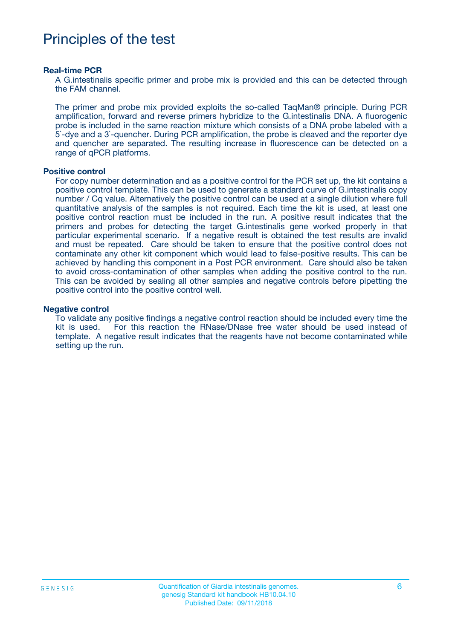### Principles of the test

#### **Real-time PCR**

A G.intestinalis specific primer and probe mix is provided and this can be detected through the FAM channel.

The primer and probe mix provided exploits the so-called TaqMan® principle. During PCR amplification, forward and reverse primers hybridize to the G.intestinalis DNA. A fluorogenic probe is included in the same reaction mixture which consists of a DNA probe labeled with a 5`-dye and a 3`-quencher. During PCR amplification, the probe is cleaved and the reporter dye and quencher are separated. The resulting increase in fluorescence can be detected on a range of qPCR platforms.

#### **Positive control**

For copy number determination and as a positive control for the PCR set up, the kit contains a positive control template. This can be used to generate a standard curve of G.intestinalis copy number / Cq value. Alternatively the positive control can be used at a single dilution where full quantitative analysis of the samples is not required. Each time the kit is used, at least one positive control reaction must be included in the run. A positive result indicates that the primers and probes for detecting the target G.intestinalis gene worked properly in that particular experimental scenario. If a negative result is obtained the test results are invalid and must be repeated. Care should be taken to ensure that the positive control does not contaminate any other kit component which would lead to false-positive results. This can be achieved by handling this component in a Post PCR environment. Care should also be taken to avoid cross-contamination of other samples when adding the positive control to the run. This can be avoided by sealing all other samples and negative controls before pipetting the positive control into the positive control well.

#### **Negative control**

To validate any positive findings a negative control reaction should be included every time the kit is used. For this reaction the RNase/DNase free water should be used instead of template. A negative result indicates that the reagents have not become contaminated while setting up the run.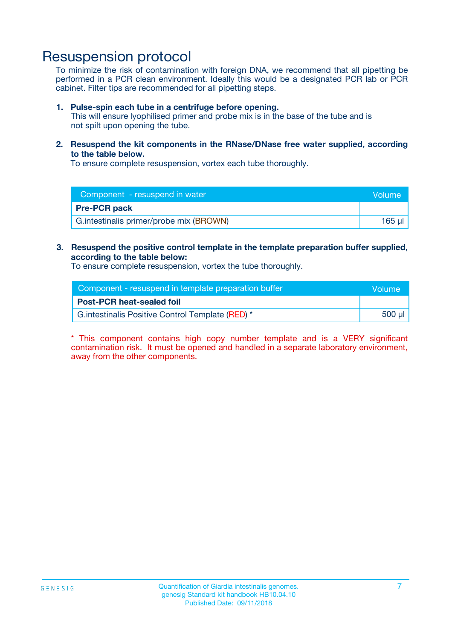### Resuspension protocol

To minimize the risk of contamination with foreign DNA, we recommend that all pipetting be performed in a PCR clean environment. Ideally this would be a designated PCR lab or PCR cabinet. Filter tips are recommended for all pipetting steps.

#### **1. Pulse-spin each tube in a centrifuge before opening.**

This will ensure lyophilised primer and probe mix is in the base of the tube and is not spilt upon opening the tube.

**2. Resuspend the kit components in the RNase/DNase free water supplied, according to the table below.**

To ensure complete resuspension, vortex each tube thoroughly.

| Component - resuspend in water<br><b>Nolume</b> |        |
|-------------------------------------------------|--------|
| <b>Pre-PCR pack</b>                             |        |
| G. intestinalis primer/probe mix (BROWN)        | 165 ul |

#### **3. Resuspend the positive control template in the template preparation buffer supplied, according to the table below:**

To ensure complete resuspension, vortex the tube thoroughly.

| Component - resuspend in template preparation buffer |        |  |
|------------------------------------------------------|--------|--|
| <b>Post-PCR heat-sealed foil</b>                     |        |  |
| G. intestinalis Positive Control Template (RED) *    | 500 µl |  |

\* This component contains high copy number template and is a VERY significant contamination risk. It must be opened and handled in a separate laboratory environment, away from the other components.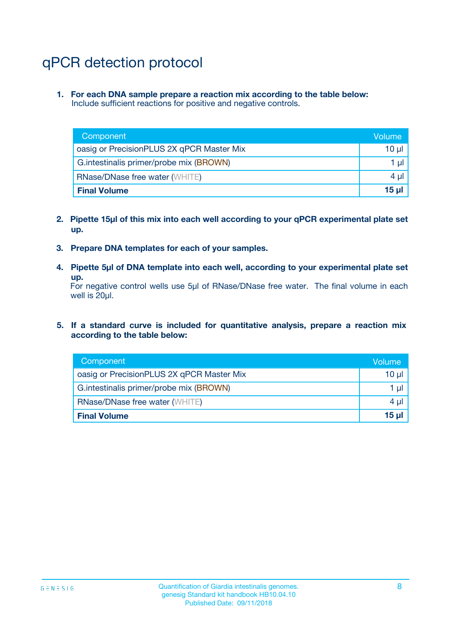# qPCR detection protocol

**1. For each DNA sample prepare a reaction mix according to the table below:** Include sufficient reactions for positive and negative controls.

| Component                                 | Volume   |
|-------------------------------------------|----------|
| oasig or PrecisionPLUS 2X qPCR Master Mix | 10 $\mu$ |
| G.intestinalis primer/probe mix (BROWN)   | 1 $\mu$  |
| <b>RNase/DNase free water (WHITE)</b>     | $4 \mu$  |
| <b>Final Volume</b>                       | $15 \mu$ |

- **2. Pipette 15µl of this mix into each well according to your qPCR experimental plate set up.**
- **3. Prepare DNA templates for each of your samples.**
- **4. Pipette 5µl of DNA template into each well, according to your experimental plate set up.**

For negative control wells use 5µl of RNase/DNase free water. The final volume in each well is 20µl.

**5. If a standard curve is included for quantitative analysis, prepare a reaction mix according to the table below:**

| Component                                 | Volume          |
|-------------------------------------------|-----------------|
| oasig or PrecisionPLUS 2X qPCR Master Mix | 10 µl           |
| G.intestinalis primer/probe mix (BROWN)   | 1 µI            |
| <b>RNase/DNase free water (WHITE)</b>     | $4 \mu$         |
| <b>Final Volume</b>                       | 15 <sub>µ</sub> |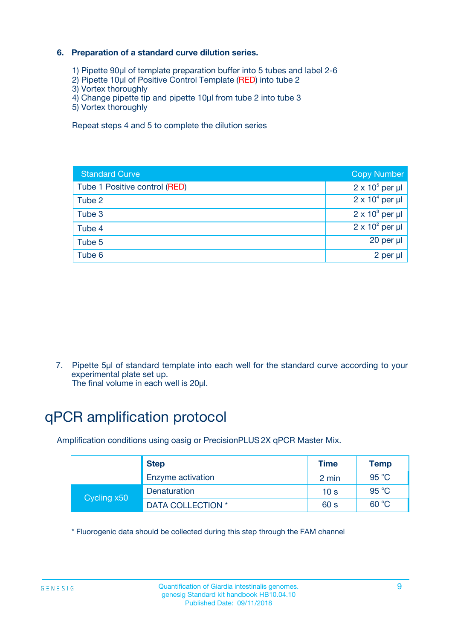#### **6. Preparation of a standard curve dilution series.**

- 1) Pipette 90µl of template preparation buffer into 5 tubes and label 2-6
- 2) Pipette 10µl of Positive Control Template (RED) into tube 2
- 3) Vortex thoroughly
- 4) Change pipette tip and pipette 10µl from tube 2 into tube 3
- 5) Vortex thoroughly

Repeat steps 4 and 5 to complete the dilution series

| <b>Standard Curve</b>         | <b>Copy Number</b>     |
|-------------------------------|------------------------|
| Tube 1 Positive control (RED) | $2 \times 10^5$ per µl |
| Tube 2                        | $2 \times 10^4$ per µl |
| Tube 3                        | $2 \times 10^3$ per µl |
| Tube 4                        | $2 \times 10^2$ per µl |
| Tube 5                        | 20 per µl              |
| Tube 6                        | 2 per ul               |

7. Pipette 5µl of standard template into each well for the standard curve according to your experimental plate set up.

The final volume in each well is 20µl.

# qPCR amplification protocol

Amplification conditions using oasig or PrecisionPLUS2X qPCR Master Mix.

|             | <b>Step</b>       | <b>Time</b>     | Temp           |
|-------------|-------------------|-----------------|----------------|
|             | Enzyme activation | 2 min           | $95^{\circ}$ C |
| Cycling x50 | Denaturation      | 10 <sub>s</sub> | 95 $°C$        |
|             | DATA COLLECTION * | 60 s            | 60 °C          |

\* Fluorogenic data should be collected during this step through the FAM channel